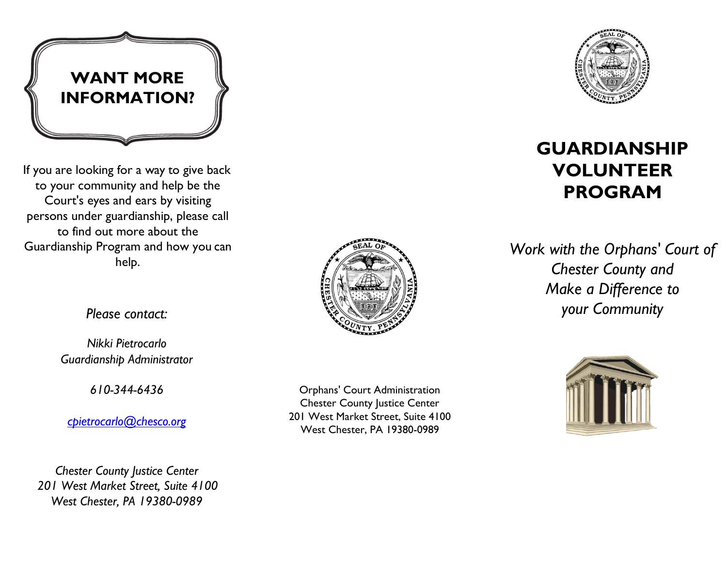

If you are looking for a way to give back to your community and help be the Court's eyes and ears by visiting persons under guardianship, please call to find out more about the Guardianship Program and how you can help.



*Please contact:* 

*Nikki Pietrocarlo Guardianship Administrator* 

*610-344-6436*

*[cpietrocarlo@chesco.org](mailto:cpietrocarlo@chesco.org)*

*Chester County Justice Center 201 West Market Street, Suite 4100 West Chester, PA 19380-0989*

Orphans' Court Administration **Chester County Justice Center** 201 West Market Street, Suite 4100 West Chester, PA 19380-0989



## **GUARDIANSHIP VOLUNTEER PROGRAM**

*Work with the Orphans' Court of Chester County and Make a Difference to your Community*